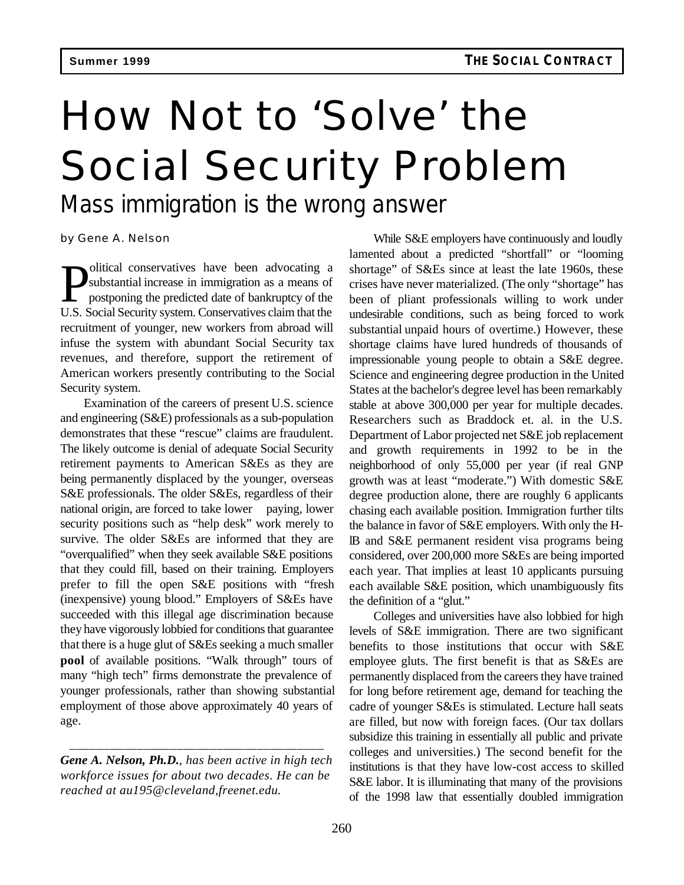## How Not to 'Solve' the Social Security Problem

*Mass immigration is the wrong answer*

by Gene A. Nelson

**P**olitical conservatives have been advocating a substantial increase in immigration as a means of postponing the predicted date of bankruptcy of the U.S. Social Security system. Conservatives claim that the olitical conservatives have been advocating a substantial increase in immigration as a means of postponing the predicted date of bankruptcy of the recruitment of younger, new workers from abroad will infuse the system with abundant Social Security tax revenues, and therefore, support the retirement of American workers presently contributing to the Social Security system.

Examination of the careers of present U.S. science and engineering (S&E) professionals as a sub-population demonstrates that these "rescue" claims are fraudulent. The likely outcome is denial of adequate Social Security retirement payments to American S&Es as they are being permanently displaced by the younger, overseas S&E professionals. The older S&Es, regardless of their national origin, are forced to take lower paying, lower security positions such as "help desk" work merely to survive. The older S&Es are informed that they are "overqualified" when they seek available S&E positions that they could fill, based on their training. Employers prefer to fill the open S&E positions with "fresh (inexpensive) young blood." Employers of S&Es have succeeded with this illegal age discrimination because they have vigorously lobbied for conditions that guarantee that there is a huge glut of S&Es seeking a much smaller **pool** of available positions. "Walk through" tours of many "high tech" firms demonstrate the prevalence of younger professionals, rather than showing substantial employment of those above approximately 40 years of age.

*Gene A. Nelson, Ph.D., has been active in high tech workforce issues for about two decades. He can be reached at au195@cleveland,freenet.edu.*

\_\_\_\_\_\_\_\_\_\_\_\_\_\_\_\_\_\_\_\_\_\_\_\_\_\_\_\_\_\_\_\_\_\_\_\_\_\_

While S&E employers have continuously and loudly lamented about a predicted "shortfall" or "looming shortage" of S&Es since at least the late 1960s, these crises have never materialized. (The only "shortage" has been of pliant professionals willing to work under undesirable conditions, such as being forced to work substantial unpaid hours of overtime.) However, these shortage claims have lured hundreds of thousands of impressionable young people to obtain a S&E degree. Science and engineering degree production in the United States at the bachelor's degree level has been remarkably stable at above 300,000 per year for multiple decades. Researchers such as Braddock et. al. in the U.S. Department of Labor projected net S&E job replacement and growth requirements in 1992 to be in the neighborhood of only 55,000 per year (if real GNP growth was at least "moderate.") With domestic S&E degree production alone, there are roughly 6 applicants chasing each available position. Immigration further tilts the balance in favor of S&E employers. With only the HlB and S&E permanent resident visa programs being considered, over 200,000 more S&Es are being imported each year. That implies at least 10 applicants pursuing each available S&E position, which unambiguously fits the definition of a "glut."

Colleges and universities have also lobbied for high levels of S&E immigration. There are two significant benefits to those institutions that occur with S&E employee gluts. The first benefit is that as S&Es are permanently displaced from the careers they have trained for long before retirement age, demand for teaching the cadre of younger S&Es is stimulated. Lecture hall seats are filled, but now with foreign faces. (Our tax dollars subsidize this training in essentially all public and private colleges and universities.) The second benefit for the institutions is that they have low-cost access to skilled S&E labor. It is illuminating that many of the provisions of the 1998 law that essentially doubled immigration